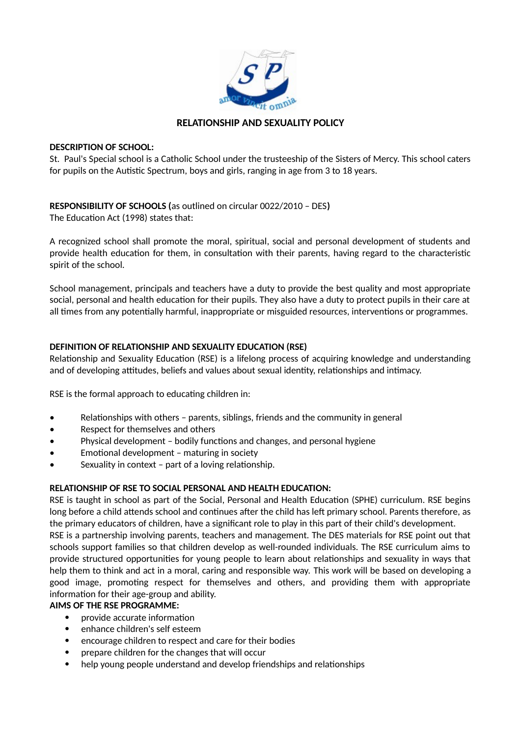

## **RELATIONSHIP AND SEXUALITY POLICY**

#### **DESCRIPTION OF SCHOOL:**

St. Paul's Special school is a Catholic School under the trusteeship of the Sisters of Mercy. This school caters for pupils on the Autistic Spectrum, boys and girls, ranging in age from 3 to 18 years.

# **RESPONSIBILITY OF SCHOOLS (**as outlined on circular 0022/2010 – DES**)**

The Education Act (1998) states that:

A recognized school shall promote the moral, spiritual, social and personal development of students and provide health education for them, in consultation with their parents, having regard to the characteristic spirit of the school.

School management, principals and teachers have a duty to provide the best quality and most appropriate social, personal and health education for their pupils. They also have a duty to protect pupils in their care at all times from any potentially harmful, inappropriate or misguided resources, interventions or programmes.

## **DEFINITION OF RELATIONSHIP AND SEXUALITY EDUCATION (RSE)**

Relationship and Sexuality Education (RSE) is a lifelong process of acquiring knowledge and understanding and of developing attitudes, beliefs and values about sexual identity, relationships and intimacy.

RSE is the formal approach to educating children in:

- Relationships with others parents, siblings, friends and the community in general
- Respect for themselves and others
- Physical development bodily functions and changes, and personal hygiene
- Emotional development maturing in society
- Sexuality in context part of a loving relationship.

## **RELATIONSHIP OF RSE TO SOCIAL PERSONAL AND HEALTH EDUCATION:**

RSE is taught in school as part of the Social, Personal and Health Education (SPHE) curriculum. RSE begins long before a child attends school and continues after the child has left primary school. Parents therefore, as the primary educators of children, have a significant role to play in this part of their child's development.

RSE is a partnership involving parents, teachers and management. The DES materials for RSE point out that schools support families so that children develop as well-rounded individuals. The RSE curriculum aims to provide structured opportunities for young people to learn about relationships and sexuality in ways that help them to think and act in a moral, caring and responsible way. This work will be based on developing a good image, promoting respect for themselves and others, and providing them with appropriate information for their age-group and ability.

## **AIMS OF THE RSE PROGRAMME:**

- provide accurate information
- enhance children's self esteem
- encourage children to respect and care for their bodies
- prepare children for the changes that will occur
- help young people understand and develop friendships and relationships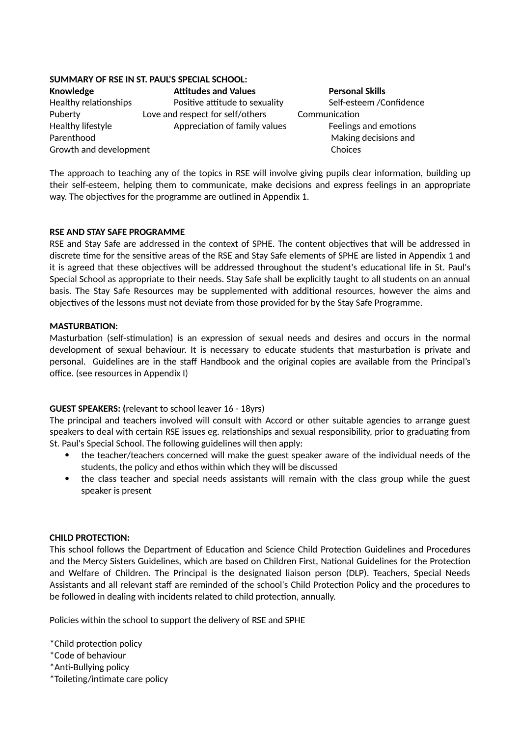## **SUMMARY OF RSE IN ST. PAUL'S SPECIAL SCHOOL:**

**Knowledge The Attitudes and Values Personal Skills** Growth and development **Choices** Choices

Healthy relationships **Positive attitude to sexuality** Self-esteem /Confidence Puberty Love and respect for self/others Communication Healthy lifestyle **Appreciation of family values** Feelings and emotions Parenthood **Making decisions** and

The approach to teaching any of the topics in RSE will involve giving pupils clear information, building up their self-esteem, helping them to communicate, make decisions and express feelings in an appropriate way. The objectives for the programme are outlined in Appendix 1.

#### **RSE AND STAY SAFE PROGRAMME**

RSE and Stay Safe are addressed in the context of SPHE. The content objectives that will be addressed in discrete time for the sensitive areas of the RSE and Stay Safe elements of SPHE are listed in Appendix 1 and it is agreed that these objectives will be addressed throughout the student's educational life in St. Paul's Special School as appropriate to their needs. Stay Safe shall be explicitly taught to all students on an annual basis. The Stay Safe Resources may be supplemented with additional resources, however the aims and objectives of the lessons must not deviate from those provided for by the Stay Safe Programme.

#### **MASTURBATION:**

Masturbation (self-stimulation) is an expression of sexual needs and desires and occurs in the normal development of sexual behaviour. It is necessary to educate students that masturbation is private and personal. Guidelines are in the staff Handbook and the original copies are available from the Principal's office. (see resources in Appendix I)

## **GUEST SPEAKERS: (**relevant to school leaver 16 - 18yrs)

The principal and teachers involved will consult with Accord or other suitable agencies to arrange guest speakers to deal with certain RSE issues eg. relationships and sexual responsibility, prior to graduating from St. Paul's Special School. The following guidelines will then apply:

- the teacher/teachers concerned will make the guest speaker aware of the individual needs of the students, the policy and ethos within which they will be discussed
- the class teacher and special needs assistants will remain with the class group while the guest speaker is present

#### **CHILD PROTECTION:**

This school follows the Department of Education and Science Child Protection Guidelines and Procedures and the Mercy Sisters Guidelines, which are based on Children First, National Guidelines for the Protection and Welfare of Children. The Principal is the designated liaison person (DLP). Teachers, Special Needs Assistants and all relevant staff are reminded of the school's Child Protection Policy and the procedures to be followed in dealing with incidents related to child protection, annually.

Policies within the school to support the delivery of RSE and SPHE

- \*Child protection policy
- \*Code of behaviour
- \*Anti-Bullying policy
- \*Toileting/intimate care policy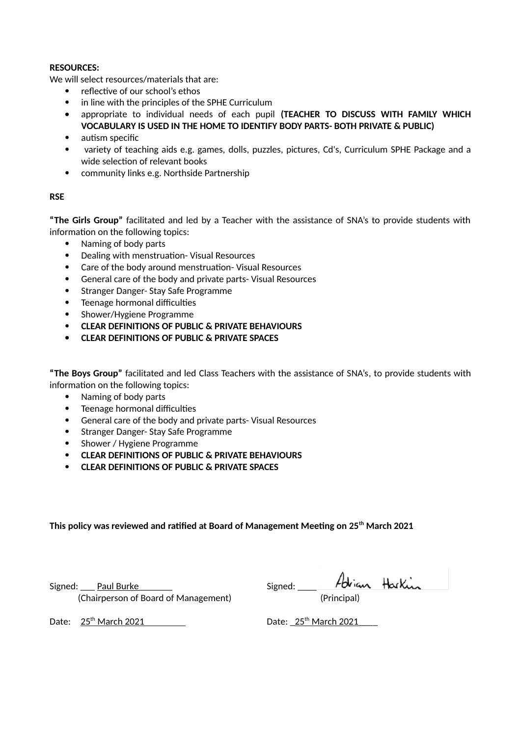#### **RESOURCES:**

We will select resources/materials that are:

- reflective of our school's ethos
- in line with the principles of the SPHE Curriculum
- appropriate to individual needs of each pupil **(TEACHER TO DISCUSS WITH FAMILY WHICH VOCABULARY IS USED IN THE HOME TO IDENTIFY BODY PARTS- BOTH PRIVATE & PUBLIC)**
- autism specific
- variety of teaching aids e.g. games, dolls, puzzles, pictures, Cd's, Curriculum SPHE Package and a wide selection of relevant books
- community links e.g. Northside Partnership

#### **RSE**

**"The Girls Group"** facilitated and led by a Teacher with the assistance of SNA's to provide students with information on the following topics:

- Naming of body parts
- Dealing with menstruation- Visual Resources
- Care of the body around menstruation- Visual Resources
- General care of the body and private parts- Visual Resources
- Stranger Danger- Stay Safe Programme
- Teenage hormonal difficulties
- Shower/Hygiene Programme
- **CLEAR DEFINITIONS OF PUBLIC & PRIVATE BEHAVIOURS**
- **CLEAR DEFINITIONS OF PUBLIC & PRIVATE SPACES**

**"The Boys Group"** facilitated and led Class Teachers with the assistance of SNA's, to provide students with information on the following topics:

- Naming of body parts
- Teenage hormonal difficulties
- General care of the body and private parts- Visual Resources
- Stranger Danger- Stay Safe Programme
- Shower / Hygiene Programme
- **CLEAR DEFINITIONS OF PUBLIC & PRIVATE BEHAVIOURS**
- **CLEAR DEFINITIONS OF PUBLIC & PRIVATE SPACES**

**This policy was reviewed and ratified at Board of Management Meeting on 25th March 2021**

Signed: <u>\_\_\_</u> Paul Burke \_\_\_\_\_\_ Signed: \_\_\_\_ S (Chairperson of Board of Management) (Principal)

| Signed: |         | Adrian Harkin |  |
|---------|---------|---------------|--|
|         | $1 - 1$ |               |  |

Date: 25th March 2021 Date: \_ 25th

Date:  $25^{th}$  March 2021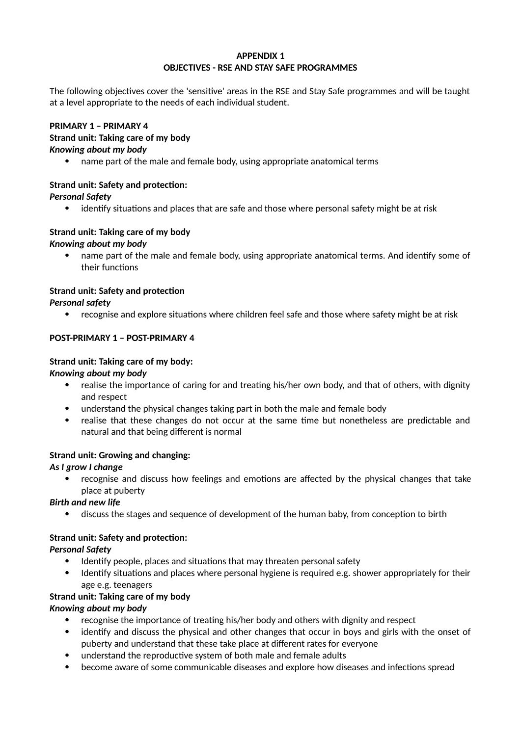#### **APPENDIX 1 OBJECTIVES - RSE AND STAY SAFE PROGRAMMES**

The following objectives cover the 'sensitive' areas in the RSE and Stay Safe programmes and will be taught at a level appropriate to the needs of each individual student.

# **PRIMARY 1 – PRIMARY 4**

#### **Strand unit: Taking care of my body** *Knowing about my body*

name part of the male and female body, using appropriate anatomical terms

# **Strand unit: Safety and protection:**

*Personal Safety*

identify situations and places that are safe and those where personal safety might be at risk

## **Strand unit: Taking care of my body** *Knowing about my body*

 name part of the male and female body, using appropriate anatomical terms. And identify some of their functions

# **Strand unit: Safety and protection**

*Personal safety*

recognise and explore situations where children feel safe and those where safety might be at risk

# **POST-PRIMARY 1 – POST-PRIMARY 4**

## **Strand unit: Taking care of my body:**

*Knowing about my body*

- realise the importance of caring for and treating his/her own body, and that of others, with dignity and respect
- understand the physical changes taking part in both the male and female body
- realise that these changes do not occur at the same time but nonetheless are predictable and natural and that being different is normal

# **Strand unit: Growing and changing:**

## *As I grow I change*

 recognise and discuss how feelings and emotions are affected by the physical changes that take place at puberty

# *Birth and new life*

discuss the stages and sequence of development of the human baby, from conception to birth

# **Strand unit: Safety and protection:**

*Personal Safety*

- Identify people, places and situations that may threaten personal safety
- Identify situations and places where personal hygiene is required e.g. shower appropriately for their age e.g. teenagers

## **Strand unit: Taking care of my body**

*Knowing about my body*

- recognise the importance of treating his/her body and others with dignity and respect
- identify and discuss the physical and other changes that occur in boys and girls with the onset of puberty and understand that these take place at different rates for everyone
- understand the reproductive system of both male and female adults
- become aware of some communicable diseases and explore how diseases and infections spread